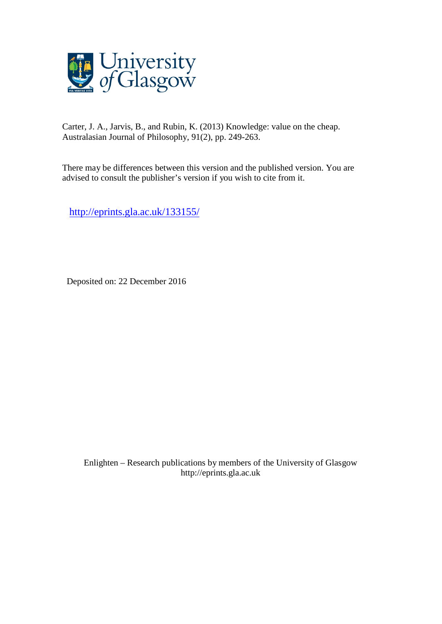

Carter, J. A., Jarvis, B., and Rubin, K. (2013) Knowledge: value on the cheap. Australasian Journal of Philosophy, 91(2), pp. 249-263.

There may be differences between this version and the published version. You are advised to consult the publisher's version if you wish to cite from it.

<http://eprints.gla.ac.uk/133155/>

Deposited on: 22 December 2016

Enlighten – Research publications by members of the University of Glasgo[w](http://eprints.gla.ac.uk/) [http://eprints.gla.ac.uk](http://eprints.gla.ac.uk/)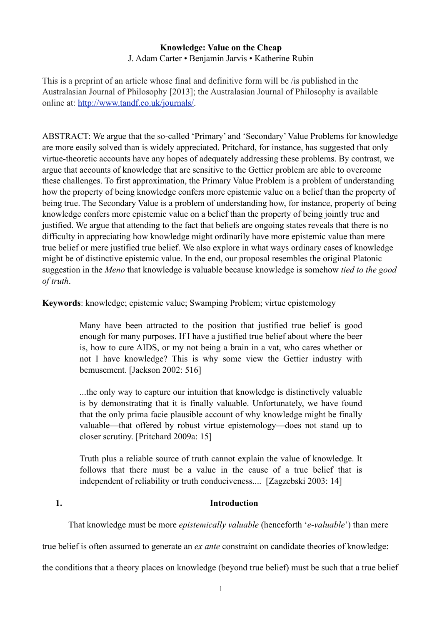# **Knowledge: Value on the Cheap** J. Adam Carter • Benjamin Jarvis • Katherine Rubin

This is a preprint of an article whose final and definitive form will be /is published in the Australasian Journal of Philosophy [2013]; the Australasian Journal of Philosophy is available online at: <http://www.tandf.co.uk/journals/>.

ABSTRACT: We argue that the so-called 'Primary' and 'Secondary' Value Problems for knowledge are more easily solved than is widely appreciated. Pritchard, for instance, has suggested that only virtue-theoretic accounts have any hopes of adequately addressing these problems. By contrast, we argue that accounts of knowledge that are sensitive to the Gettier problem are able to overcome these challenges. To first approximation, the Primary Value Problem is a problem of understanding how the property of being knowledge confers more epistemic value on a belief than the property of being true. The Secondary Value is a problem of understanding how, for instance, property of being knowledge confers more epistemic value on a belief than the property of being jointly true and justified. We argue that attending to the fact that beliefs are ongoing states reveals that there is no difficulty in appreciating how knowledge might ordinarily have more epistemic value than mere true belief or mere justified true belief. We also explore in what ways ordinary cases of knowledge might be of distinctive epistemic value. In the end, our proposal resembles the original Platonic suggestion in the *Meno* that knowledge is valuable because knowledge is somehow *tied to the good of truth*.

**Keywords**: knowledge; epistemic value; Swamping Problem; virtue epistemology

Many have been attracted to the position that justified true belief is good enough for many purposes. If I have a justified true belief about where the beer is, how to cure AIDS, or my not being a brain in a vat, who cares whether or not I have knowledge? This is why some view the Gettier industry with bemusement. [Jackson 2002: 516]

...the only way to capture our intuition that knowledge is distinctively valuable is by demonstrating that it is finally valuable. Unfortunately, we have found that the only prima facie plausible account of why knowledge might be finally valuable—that offered by robust virtue epistemology—does not stand up to closer scrutiny. [Pritchard 2009a: 15]

Truth plus a reliable source of truth cannot explain the value of knowledge. It follows that there must be a value in the cause of a true belief that is independent of reliability or truth conduciveness.... [Zagzebski 2003: 14]

# **1. Introduction**

That knowledge must be more *epistemically valuable* (henceforth '*e-valuable*') than mere

true belief is often assumed to generate an *ex ante* constraint on candidate theories of knowledge:

the conditions that a theory places on knowledge (beyond true belief) must be such that a true belief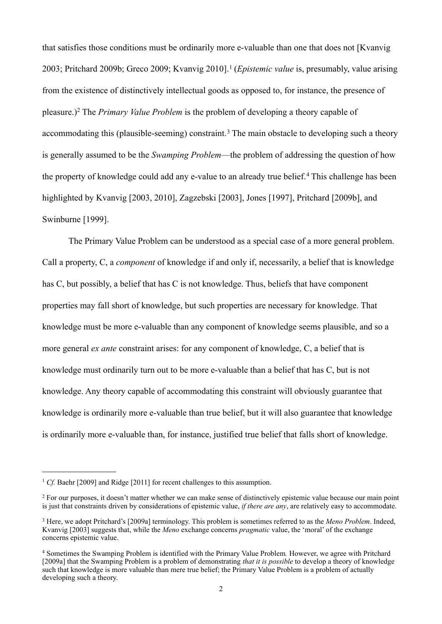that satisfies those conditions must be ordinarily more e-valuable than one that does not [Kvanvig 2003; Pritchard 2009b; Greco 2009; Kvanvig 2010].[1](#page-2-0) (*Epistemic value* is, presumably, value arising from the existence of distinctively intellectual goods as opposed to, for instance, the presence of pleasure.)[2](#page-2-1) The *Primary Value Problem* is the problem of developing a theory capable of accommodating this (plausible-seeming) constraint.<sup>[3](#page-2-2)</sup> The main obstacle to developing such a theory is generally assumed to be the *Swamping Problem*—the problem of addressing the question of how the property of knowledge could add any e-value to an already true belief.<sup>[4](#page-2-3)</sup> This challenge has been highlighted by Kvanvig [2003, 2010], Zagzebski [2003], Jones [1997], Pritchard [2009b], and Swinburne [1999].

The Primary Value Problem can be understood as a special case of a more general problem. Call a property, C, a *component* of knowledge if and only if, necessarily, a belief that is knowledge has C, but possibly, a belief that has C is not knowledge. Thus, beliefs that have component properties may fall short of knowledge, but such properties are necessary for knowledge. That knowledge must be more e-valuable than any component of knowledge seems plausible, and so a more general *ex ante* constraint arises: for any component of knowledge, C, a belief that is knowledge must ordinarily turn out to be more e-valuable than a belief that has C, but is not knowledge. Any theory capable of accommodating this constraint will obviously guarantee that knowledge is ordinarily more e-valuable than true belief, but it will also guarantee that knowledge is ordinarily more e-valuable than, for instance, justified true belief that falls short of knowledge.

<span id="page-2-0"></span><sup>&</sup>lt;sup>1</sup> *Cf.* Baehr [2009] and Ridge [2011] for recent challenges to this assumption.

<span id="page-2-1"></span><sup>&</sup>lt;sup>2</sup> For our purposes, it doesn't matter whether we can make sense of distinctively epistemic value because our main point is just that constraints driven by considerations of epistemic value, *if there are any*, are relatively easy to accommodate.

<span id="page-2-2"></span><sup>3</sup> Here, we adopt Pritchard's [2009a] terminology. This problem is sometimes referred to as the *Meno Problem*. Indeed, Kvanvig [2003] suggests that, while the *Meno* exchange concerns *pragmatic* value, the 'moral' of the exchange concerns epistemic value.

<span id="page-2-3"></span><sup>4</sup> Sometimes the Swamping Problem is identified with the Primary Value Problem*.* However, we agree with Pritchard [2009a] that the Swamping Problem is a problem of demonstrating *that it is possible* to develop a theory of knowledge such that knowledge is more valuable than mere true belief; the Primary Value Problem is a problem of actually developing such a theory.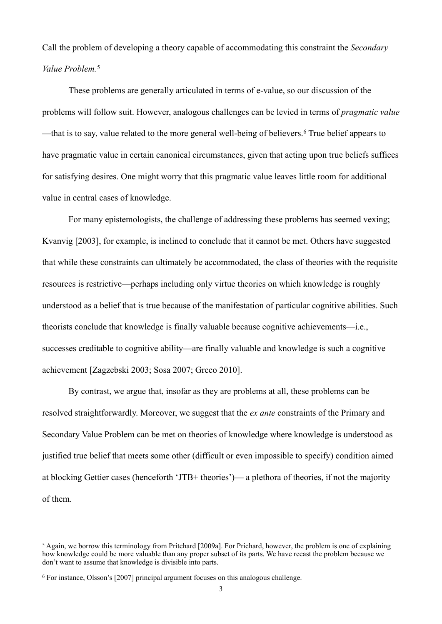Call the problem of developing a theory capable of accommodating this constraint the *Secondary Value Problem.*[5](#page-3-0)

These problems are generally articulated in terms of e-value, so our discussion of the problems will follow suit. However, analogous challenges can be levied in terms of *pragmatic value* —that is to say, value related to the more general well-being of believers.<sup>6</sup> True belief appears to have pragmatic value in certain canonical circumstances, given that acting upon true beliefs suffices for satisfying desires. One might worry that this pragmatic value leaves little room for additional value in central cases of knowledge.

For many epistemologists, the challenge of addressing these problems has seemed vexing; Kvanvig [2003], for example, is inclined to conclude that it cannot be met. Others have suggested that while these constraints can ultimately be accommodated, the class of theories with the requisite resources is restrictive—perhaps including only virtue theories on which knowledge is roughly understood as a belief that is true because of the manifestation of particular cognitive abilities. Such theorists conclude that knowledge is finally valuable because cognitive achievements—i.e., successes creditable to cognitive ability—are finally valuable and knowledge is such a cognitive achievement [Zagzebski 2003; Sosa 2007; Greco 2010].

 By contrast, we argue that, insofar as they are problems at all, these problems can be resolved straightforwardly. Moreover, we suggest that the *ex ante* constraints of the Primary and Secondary Value Problem can be met on theories of knowledge where knowledge is understood as justified true belief that meets some other (difficult or even impossible to specify) condition aimed at blocking Gettier cases (henceforth 'JTB+ theories')— a plethora of theories, if not the majority of them.

<span id="page-3-0"></span><sup>5</sup> Again, we borrow this terminology from Pritchard [2009a]. For Prichard, however, the problem is one of explaining how knowledge could be more valuable than any proper subset of its parts. We have recast the problem because we don't want to assume that knowledge is divisible into parts.

<span id="page-3-1"></span><sup>6</sup> For instance, Olsson's [2007] principal argument focuses on this analogous challenge.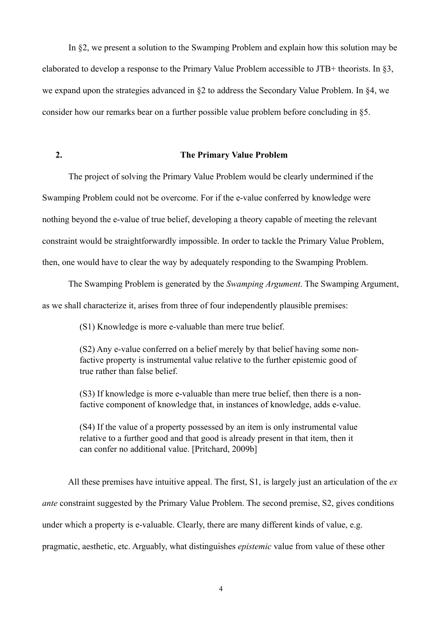In §2, we present a solution to the Swamping Problem and explain how this solution may be elaborated to develop a response to the Primary Value Problem accessible to JTB+ theorists. In §3, we expand upon the strategies advanced in §2 to address the Secondary Value Problem. In §4, we consider how our remarks bear on a further possible value problem before concluding in §5.

### **2. The Primary Value Problem**

The project of solving the Primary Value Problem would be clearly undermined if the Swamping Problem could not be overcome. For if the e-value conferred by knowledge were nothing beyond the e-value of true belief, developing a theory capable of meeting the relevant constraint would be straightforwardly impossible. In order to tackle the Primary Value Problem, then, one would have to clear the way by adequately responding to the Swamping Problem.

 The Swamping Problem is generated by the *Swamping Argument*. The Swamping Argument, as we shall characterize it, arises from three of four independently plausible premises:

(S1) Knowledge is more e-valuable than mere true belief.

(S2) Any e-value conferred on a belief merely by that belief having some nonfactive property is instrumental value relative to the further epistemic good of true rather than false belief.

(S3) If knowledge is more e-valuable than mere true belief, then there is a nonfactive component of knowledge that, in instances of knowledge, adds e-value.

(S4) If the value of a property possessed by an item is only instrumental value relative to a further good and that good is already present in that item, then it can confer no additional value. [Pritchard, 2009b]

 All these premises have intuitive appeal. The first, S1, is largely just an articulation of the *ex ante* constraint suggested by the Primary Value Problem. The second premise, S2, gives conditions under which a property is e-valuable. Clearly, there are many different kinds of value, e.g. pragmatic, aesthetic, etc. Arguably, what distinguishes *epistemic* value from value of these other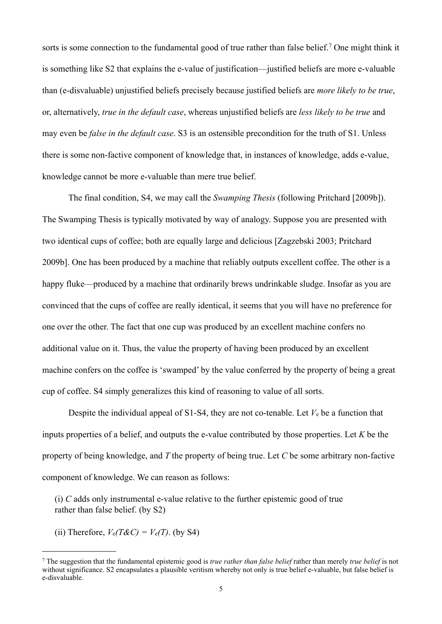sorts is some connection to the fundamental good of true rather than false belief.[7](#page-5-0) One might think it is something like S2 that explains the e-value of justification—justified beliefs are more e-valuable than (e-disvaluable) unjustified beliefs precisely because justified beliefs are *more likely to be true*, or, alternatively, *true in the default case*, whereas unjustified beliefs are *less likely to be true* and may even be *false in the default case*. S3 is an ostensible precondition for the truth of S1. Unless there is some non-factive component of knowledge that, in instances of knowledge, adds e-value, knowledge cannot be more e-valuable than mere true belief.

 The final condition, S4, we may call the *Swamping Thesis* (following Pritchard [2009b]). The Swamping Thesis is typically motivated by way of analogy. Suppose you are presented with two identical cups of coffee; both are equally large and delicious [Zagzebski 2003; Pritchard 2009b]. One has been produced by a machine that reliably outputs excellent coffee. The other is a happy fluke—produced by a machine that ordinarily brews undrinkable sludge. Insofar as you are convinced that the cups of coffee are really identical, it seems that you will have no preference for one over the other. The fact that one cup was produced by an excellent machine confers no additional value on it. Thus, the value the property of having been produced by an excellent machine confers on the coffee is 'swamped' by the value conferred by the property of being a great cup of coffee. S4 simply generalizes this kind of reasoning to value of all sorts.

Despite the individual appeal of  $S1-S4$ , they are not co-tenable. Let  $V_e$  be a function that inputs properties of a belief, and outputs the e-value contributed by those properties. Let *K* be the property of being knowledge, and *T* the property of being true. Let *C* be some arbitrary non-factive component of knowledge. We can reason as follows:

(i) *C* adds only instrumental e-value relative to the further epistemic good of true rather than false belief. (by S2)

(ii) Therefore,  $V_e(T \& C) = V_e(T)$ . (by S4)

<span id="page-5-0"></span><sup>7</sup> The suggestion that the fundamental epistemic good is *true rather than false belief* rather than merely *true belief* is not without significance. S2 encapsulates a plausible veritism whereby not only is true belief e-valuable, but false belief is e-disvaluable.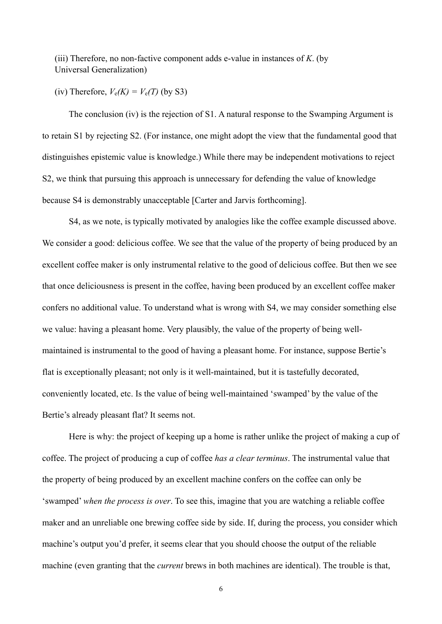(iii) Therefore, no non-factive component adds e-value in instances of *K*. (by Universal Generalization)

(iv) Therefore,  $V_e(K) = V_e(T)$  (by S3)

 The conclusion (iv) is the rejection of S1. A natural response to the Swamping Argument is to retain S1 by rejecting S2. (For instance, one might adopt the view that the fundamental good that distinguishes epistemic value is knowledge.) While there may be independent motivations to reject S2, we think that pursuing this approach is unnecessary for defending the value of knowledge because S4 is demonstrably unacceptable [Carter and Jarvis forthcoming].

 S4, as we note, is typically motivated by analogies like the coffee example discussed above. We consider a good: delicious coffee. We see that the value of the property of being produced by an excellent coffee maker is only instrumental relative to the good of delicious coffee. But then we see that once deliciousness is present in the coffee, having been produced by an excellent coffee maker confers no additional value. To understand what is wrong with S4, we may consider something else we value: having a pleasant home. Very plausibly, the value of the property of being wellmaintained is instrumental to the good of having a pleasant home. For instance, suppose Bertie's flat is exceptionally pleasant; not only is it well-maintained, but it is tastefully decorated, conveniently located, etc. Is the value of being well-maintained 'swamped' by the value of the Bertie's already pleasant flat? It seems not.

 Here is why: the project of keeping up a home is rather unlike the project of making a cup of coffee. The project of producing a cup of coffee *has a clear terminus*. The instrumental value that the property of being produced by an excellent machine confers on the coffee can only be 'swamped' *when the process is over*. To see this, imagine that you are watching a reliable coffee maker and an unreliable one brewing coffee side by side. If, during the process, you consider which machine's output you'd prefer, it seems clear that you should choose the output of the reliable machine (even granting that the *current* brews in both machines are identical). The trouble is that,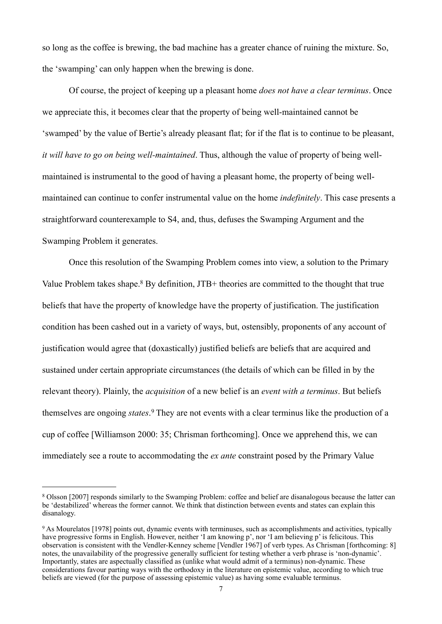so long as the coffee is brewing, the bad machine has a greater chance of ruining the mixture. So, the 'swamping' can only happen when the brewing is done.

 Of course, the project of keeping up a pleasant home *does not have a clear terminus*. Once we appreciate this, it becomes clear that the property of being well-maintained cannot be 'swamped' by the value of Bertie's already pleasant flat; for if the flat is to continue to be pleasant, *it will have to go on being well-maintained*. Thus, although the value of property of being wellmaintained is instrumental to the good of having a pleasant home, the property of being wellmaintained can continue to confer instrumental value on the home *indefinitely*. This case presents a straightforward counterexample to S4, and, thus, defuses the Swamping Argument and the Swamping Problem it generates.

 Once this resolution of the Swamping Problem comes into view, a solution to the Primary Value Problem takes shape.<sup>8</sup> By definition, JTB+ theories are committed to the thought that true beliefs that have the property of knowledge have the property of justification. The justification condition has been cashed out in a variety of ways, but, ostensibly, proponents of any account of justification would agree that (doxastically) justified beliefs are beliefs that are acquired and sustained under certain appropriate circumstances (the details of which can be filled in by the relevant theory). Plainly, the *acquisition* of a new belief is an *event with a terminus*. But beliefs themselves are ongoing *states*. [9](#page-7-1) They are not events with a clear terminus like the production of a cup of coffee [Williamson 2000: 35; Chrisman forthcoming]. Once we apprehend this, we can immediately see a route to accommodating the *ex ante* constraint posed by the Primary Value

<span id="page-7-0"></span><sup>8</sup> Olsson [2007] responds similarly to the Swamping Problem: coffee and belief are disanalogous because the latter can be 'destabilized' whereas the former cannot. We think that distinction between events and states can explain this disanalogy.

<span id="page-7-1"></span><sup>9</sup> As Mourelatos [1978] points out, dynamic events with terminuses, such as accomplishments and activities, typically have progressive forms in English. However, neither 'I am knowing p', nor 'I am believing p' is felicitous. This observation is consistent with the Vendler-Kenney scheme [Vendler 1967] of verb types. As Chrisman [forthcoming: 8] notes, the unavailability of the progressive generally sufficient for testing whether a verb phrase is 'non-dynamic'. Importantly, states are aspectually classified as (unlike what would admit of a terminus) non-dynamic. These considerations favour parting ways with the orthodoxy in the literature on epistemic value, according to which true beliefs are viewed (for the purpose of assessing epistemic value) as having some evaluable terminus.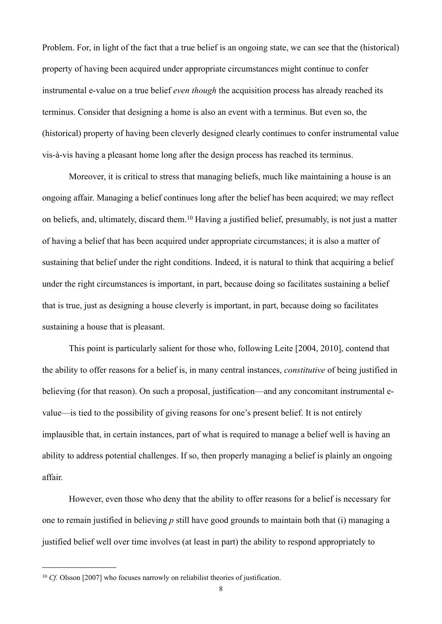Problem. For, in light of the fact that a true belief is an ongoing state, we can see that the (historical) property of having been acquired under appropriate circumstances might continue to confer instrumental e-value on a true belief *even though* the acquisition process has already reached its terminus. Consider that designing a home is also an event with a terminus. But even so, the (historical) property of having been cleverly designed clearly continues to confer instrumental value vis-à-vis having a pleasant home long after the design process has reached its terminus.

Moreover, it is critical to stress that managing beliefs, much like maintaining a house is an ongoing affair. Managing a belief continues long after the belief has been acquired; we may reflect on beliefs, and, ultimately, discard them.[10](#page-8-0) Having a justified belief, presumably, is not just a matter of having a belief that has been acquired under appropriate circumstances; it is also a matter of sustaining that belief under the right conditions. Indeed, it is natural to think that acquiring a belief under the right circumstances is important, in part, because doing so facilitates sustaining a belief that is true, just as designing a house cleverly is important, in part, because doing so facilitates sustaining a house that is pleasant.

This point is particularly salient for those who, following Leite [2004, 2010], contend that the ability to offer reasons for a belief is, in many central instances, *constitutive* of being justified in believing (for that reason). On such a proposal, justification—and any concomitant instrumental evalue—is tied to the possibility of giving reasons for one's present belief. It is not entirely implausible that, in certain instances, part of what is required to manage a belief well is having an ability to address potential challenges. If so, then properly managing a belief is plainly an ongoing affair.

However, even those who deny that the ability to offer reasons for a belief is necessary for one to remain justified in believing *p* still have good grounds to maintain both that (i) managing a justified belief well over time involves (at least in part) the ability to respond appropriately to

<span id="page-8-0"></span><sup>&</sup>lt;sup>10</sup> *Cf.* Olsson [2007] who focuses narrowly on reliabilist theories of justification.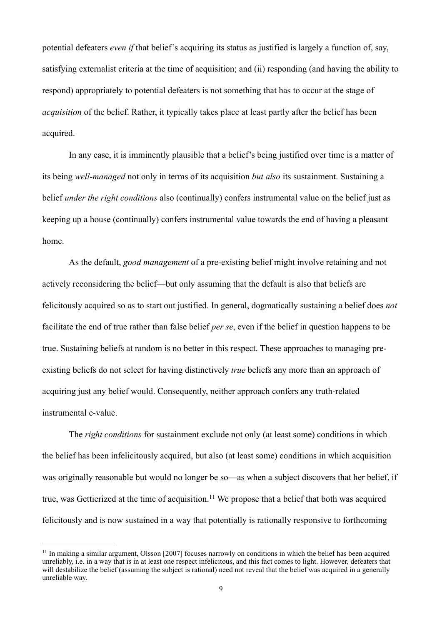potential defeaters *even if* that belief's acquiring its status as justified is largely a function of, say, satisfying externalist criteria at the time of acquisition; and (ii) responding (and having the ability to respond) appropriately to potential defeaters is not something that has to occur at the stage of *acquisition* of the belief. Rather, it typically takes place at least partly after the belief has been acquired.

In any case, it is imminently plausible that a belief's being justified over time is a matter of its being *well-managed* not only in terms of its acquisition *but also* its sustainment. Sustaining a belief *under the right conditions* also (continually) confers instrumental value on the belief just as keeping up a house (continually) confers instrumental value towards the end of having a pleasant home.

As the default, *good management* of a pre-existing belief might involve retaining and not actively reconsidering the belief—but only assuming that the default is also that beliefs are felicitously acquired so as to start out justified. In general, dogmatically sustaining a belief does *not* facilitate the end of true rather than false belief *per se*, even if the belief in question happens to be true. Sustaining beliefs at random is no better in this respect. These approaches to managing preexisting beliefs do not select for having distinctively *true* beliefs any more than an approach of acquiring just any belief would. Consequently, neither approach confers any truth-related instrumental e-value.

The *right conditions* for sustainment exclude not only (at least some) conditions in which the belief has been infelicitously acquired, but also (at least some) conditions in which acquisition was originally reasonable but would no longer be so—as when a subject discovers that her belief, if true, was Gettierized at the time of acquisition.<sup>11</sup> We propose that a belief that both was acquired felicitously and is now sustained in a way that potentially is rationally responsive to forthcoming

<span id="page-9-0"></span><sup>11</sup> In making a similar argument, Olsson [2007] focuses narrowly on conditions in which the belief has been acquired unreliably, i.e. in a way that is in at least one respect infelicitous, and this fact comes to light. However, defeaters that will destabilize the belief (assuming the subject is rational) need not reveal that the belief was acquired in a generally unreliable way.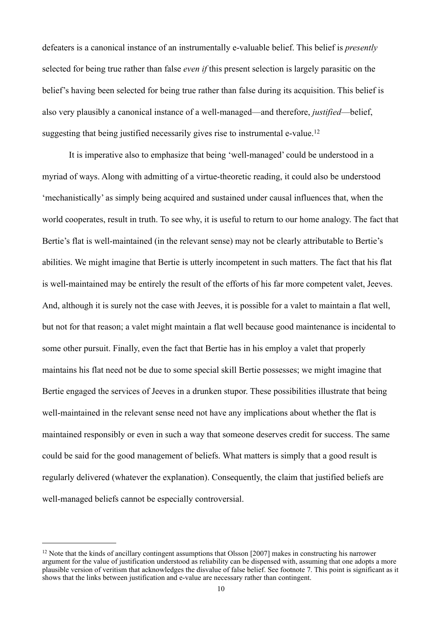defeaters is a canonical instance of an instrumentally e-valuable belief. This belief is *presently* selected for being true rather than false *even if* this present selection is largely parasitic on the belief's having been selected for being true rather than false during its acquisition. This belief is also very plausibly a canonical instance of a well-managed—and therefore, *justified*—belief, suggesting that being justified necessarily gives rise to instrumental e-value.<sup>[12](#page-10-0)</sup>

 It is imperative also to emphasize that being 'well-managed' could be understood in a myriad of ways. Along with admitting of a virtue-theoretic reading, it could also be understood 'mechanistically' as simply being acquired and sustained under causal influences that, when the world cooperates, result in truth. To see why, it is useful to return to our home analogy. The fact that Bertie's flat is well-maintained (in the relevant sense) may not be clearly attributable to Bertie's abilities. We might imagine that Bertie is utterly incompetent in such matters. The fact that his flat is well-maintained may be entirely the result of the efforts of his far more competent valet, Jeeves. And, although it is surely not the case with Jeeves, it is possible for a valet to maintain a flat well, but not for that reason; a valet might maintain a flat well because good maintenance is incidental to some other pursuit. Finally, even the fact that Bertie has in his employ a valet that properly maintains his flat need not be due to some special skill Bertie possesses; we might imagine that Bertie engaged the services of Jeeves in a drunken stupor. These possibilities illustrate that being well-maintained in the relevant sense need not have any implications about whether the flat is maintained responsibly or even in such a way that someone deserves credit for success. The same could be said for the good management of beliefs. What matters is simply that a good result is regularly delivered (whatever the explanation). Consequently, the claim that justified beliefs are well-managed beliefs cannot be especially controversial.

<span id="page-10-0"></span><sup>&</sup>lt;sup>12</sup> Note that the kinds of ancillary contingent assumptions that Olsson [2007] makes in constructing his narrower argument for the value of justification understood as reliability can be dispensed with, assuming that one adopts a more plausible version of veritism that acknowledges the disvalue of false belief. See footnote 7. This point is significant as it shows that the links between justification and e-value are necessary rather than contingent.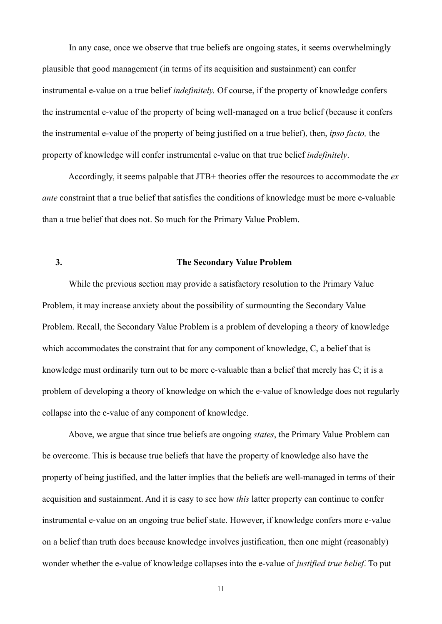In any case, once we observe that true beliefs are ongoing states, it seems overwhelmingly plausible that good management (in terms of its acquisition and sustainment) can confer instrumental e-value on a true belief *indefinitely.* Of course, if the property of knowledge confers the instrumental e-value of the property of being well-managed on a true belief (because it confers the instrumental e-value of the property of being justified on a true belief), then, *ipso facto,* the property of knowledge will confer instrumental e-value on that true belief *indefinitely*.

 Accordingly, it seems palpable that JTB+ theories offer the resources to accommodate the *ex ante* constraint that a true belief that satisfies the conditions of knowledge must be more e-valuable than a true belief that does not. So much for the Primary Value Problem.

## **3. The Secondary Value Problem**

 While the previous section may provide a satisfactory resolution to the Primary Value Problem, it may increase anxiety about the possibility of surmounting the Secondary Value Problem. Recall, the Secondary Value Problem is a problem of developing a theory of knowledge which accommodates the constraint that for any component of knowledge, C, a belief that is knowledge must ordinarily turn out to be more e-valuable than a belief that merely has C; it is a problem of developing a theory of knowledge on which the e-value of knowledge does not regularly collapse into the e-value of any component of knowledge.

 Above, we argue that since true beliefs are ongoing *states*, the Primary Value Problem can be overcome. This is because true beliefs that have the property of knowledge also have the property of being justified, and the latter implies that the beliefs are well-managed in terms of their acquisition and sustainment. And it is easy to see how *this* latter property can continue to confer instrumental e-value on an ongoing true belief state. However, if knowledge confers more e-value on a belief than truth does because knowledge involves justification, then one might (reasonably) wonder whether the e-value of knowledge collapses into the e-value of *justified true belief*. To put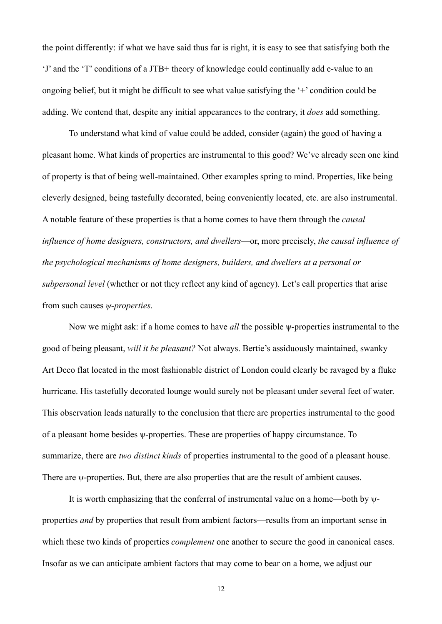the point differently: if what we have said thus far is right, it is easy to see that satisfying both the 'J' and the 'T' conditions of a JTB+ theory of knowledge could continually add e-value to an ongoing belief, but it might be difficult to see what value satisfying the '+' condition could be adding. We contend that, despite any initial appearances to the contrary, it *does* add something.

 To understand what kind of value could be added, consider (again) the good of having a pleasant home. What kinds of properties are instrumental to this good? We've already seen one kind of property is that of being well-maintained. Other examples spring to mind. Properties, like being cleverly designed, being tastefully decorated, being conveniently located, etc. are also instrumental. A notable feature of these properties is that a home comes to have them through the *causal influence of home designers, constructors, and dwellers*—or, more precisely, *the causal influence of the psychological mechanisms of home designers, builders, and dwellers at a personal or subpersonal level* (whether or not they reflect any kind of agency). Let's call properties that arise from such causes *ψ-properties*.

 Now we might ask: if a home comes to have *all* the possible ψ-properties instrumental to the good of being pleasant, *will it be pleasant?* Not always. Bertie's assiduously maintained, swanky Art Deco flat located in the most fashionable district of London could clearly be ravaged by a fluke hurricane. His tastefully decorated lounge would surely not be pleasant under several feet of water. This observation leads naturally to the conclusion that there are properties instrumental to the good of a pleasant home besides ψ-properties. These are properties of happy circumstance. To summarize, there are *two distinct kinds* of properties instrumental to the good of a pleasant house. There are *w*-properties. But, there are also properties that are the result of ambient causes.

 It is worth emphasizing that the conferral of instrumental value on a home—both by ψproperties *and* by properties that result from ambient factors—results from an important sense in which these two kinds of properties *complement* one another to secure the good in canonical cases. Insofar as we can anticipate ambient factors that may come to bear on a home, we adjust our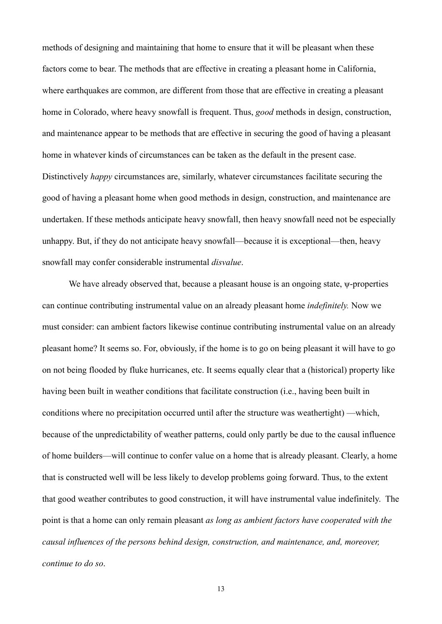methods of designing and maintaining that home to ensure that it will be pleasant when these factors come to bear. The methods that are effective in creating a pleasant home in California, where earthquakes are common, are different from those that are effective in creating a pleasant home in Colorado, where heavy snowfall is frequent. Thus, *good* methods in design, construction, and maintenance appear to be methods that are effective in securing the good of having a pleasant home in whatever kinds of circumstances can be taken as the default in the present case. Distinctively *happy* circumstances are, similarly, whatever circumstances facilitate securing the good of having a pleasant home when good methods in design, construction, and maintenance are undertaken. If these methods anticipate heavy snowfall, then heavy snowfall need not be especially unhappy. But, if they do not anticipate heavy snowfall—because it is exceptional—then, heavy snowfall may confer considerable instrumental *disvalue*.

 We have already observed that, because a pleasant house is an ongoing state, ψ-properties can continue contributing instrumental value on an already pleasant home *indefinitely.* Now we must consider: can ambient factors likewise continue contributing instrumental value on an already pleasant home? It seems so. For, obviously, if the home is to go on being pleasant it will have to go on not being flooded by fluke hurricanes, etc. It seems equally clear that a (historical) property like having been built in weather conditions that facilitate construction (i.e., having been built in conditions where no precipitation occurred until after the structure was weathertight) —which, because of the unpredictability of weather patterns, could only partly be due to the causal influence of home builders—will continue to confer value on a home that is already pleasant. Clearly, a home that is constructed well will be less likely to develop problems going forward. Thus, to the extent that good weather contributes to good construction, it will have instrumental value indefinitely. The point is that a home can only remain pleasant *as long as ambient factors have cooperated with the causal influences of the persons behind design, construction, and maintenance, and, moreover, continue to do so*.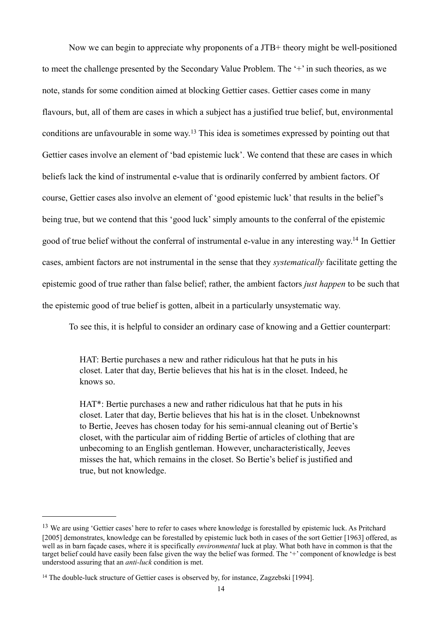Now we can begin to appreciate why proponents of a JTB+ theory might be well-positioned to meet the challenge presented by the Secondary Value Problem. The '+' in such theories, as we note, stands for some condition aimed at blocking Gettier cases. Gettier cases come in many flavours, but, all of them are cases in which a subject has a justified true belief, but, environmental conditions are unfavourable in some way.[13](#page-14-0) This idea is sometimes expressed by pointing out that Gettier cases involve an element of 'bad epistemic luck'. We contend that these are cases in which beliefs lack the kind of instrumental e-value that is ordinarily conferred by ambient factors. Of course, Gettier cases also involve an element of 'good epistemic luck' that results in the belief's being true, but we contend that this 'good luck' simply amounts to the conferral of the epistemic good of true belief without the conferral of instrumental e-value in any interesting way[.14](#page-14-1) In Gettier cases, ambient factors are not instrumental in the sense that they *systematically* facilitate getting the epistemic good of true rather than false belief; rather, the ambient factors *just happen* to be such that the epistemic good of true belief is gotten, albeit in a particularly unsystematic way.

To see this, it is helpful to consider an ordinary case of knowing and a Gettier counterpart:

HAT: Bertie purchases a new and rather ridiculous hat that he puts in his closet. Later that day, Bertie believes that his hat is in the closet. Indeed, he knows so.

HAT\*: Bertie purchases a new and rather ridiculous hat that he puts in his closet. Later that day, Bertie believes that his hat is in the closet. Unbeknownst to Bertie, Jeeves has chosen today for his semi-annual cleaning out of Bertie's closet, with the particular aim of ridding Bertie of articles of clothing that are unbecoming to an English gentleman. However, uncharacteristically, Jeeves misses the hat, which remains in the closet. So Bertie's belief is justified and true, but not knowledge.

<span id="page-14-0"></span><sup>&</sup>lt;sup>13</sup> We are using 'Gettier cases' here to refer to cases where knowledge is forestalled by epistemic luck. As Pritchard [2005] demonstrates, knowledge can be forestalled by epistemic luck both in cases of the sort Gettier [1963] offered, as well as in barn façade cases, where it is specifically *environmental* luck at play. What both have in common is that the target belief could have easily been false given the way the belief was formed. The '+' component of knowledge is best understood assuring that an *anti-luck* condition is met.

<span id="page-14-1"></span><sup>&</sup>lt;sup>14</sup> The double-luck structure of Gettier cases is observed by, for instance, Zagzebski [1994].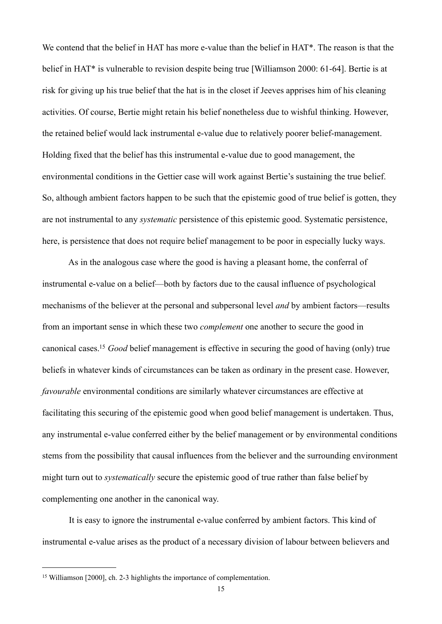We contend that the belief in HAT has more e-value than the belief in HAT<sup>\*</sup>. The reason is that the belief in HAT\* is vulnerable to revision despite being true [Williamson 2000: 61-64]. Bertie is at risk for giving up his true belief that the hat is in the closet if Jeeves apprises him of his cleaning activities. Of course, Bertie might retain his belief nonetheless due to wishful thinking. However, the retained belief would lack instrumental e-value due to relatively poorer belief-management. Holding fixed that the belief has this instrumental e-value due to good management, the environmental conditions in the Gettier case will work against Bertie's sustaining the true belief. So, although ambient factors happen to be such that the epistemic good of true belief is gotten, they are not instrumental to any *systematic* persistence of this epistemic good. Systematic persistence, here, is persistence that does not require belief management to be poor in especially lucky ways.

 As in the analogous case where the good is having a pleasant home, the conferral of instrumental e-value on a belief—both by factors due to the causal influence of psychological mechanisms of the believer at the personal and subpersonal level *and* by ambient factors—results from an important sense in which these two *complement* one another to secure the good in canonical cases[.15](#page-15-0) *Good* belief management is effective in securing the good of having (only) true beliefs in whatever kinds of circumstances can be taken as ordinary in the present case. However, *favourable* environmental conditions are similarly whatever circumstances are effective at facilitating this securing of the epistemic good when good belief management is undertaken. Thus, any instrumental e-value conferred either by the belief management or by environmental conditions stems from the possibility that causal influences from the believer and the surrounding environment might turn out to *systematically* secure the epistemic good of true rather than false belief by complementing one another in the canonical way.

 It is easy to ignore the instrumental e-value conferred by ambient factors. This kind of instrumental e-value arises as the product of a necessary division of labour between believers and

<span id="page-15-0"></span><sup>15</sup> Williamson [2000], ch. 2-3 highlights the importance of complementation.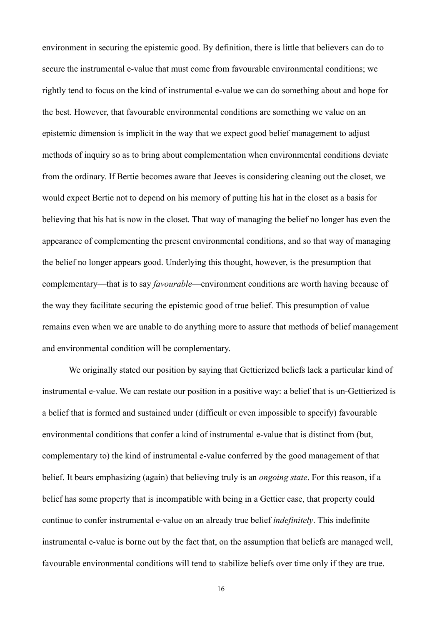environment in securing the epistemic good. By definition, there is little that believers can do to secure the instrumental e-value that must come from favourable environmental conditions; we rightly tend to focus on the kind of instrumental e-value we can do something about and hope for the best. However, that favourable environmental conditions are something we value on an epistemic dimension is implicit in the way that we expect good belief management to adjust methods of inquiry so as to bring about complementation when environmental conditions deviate from the ordinary. If Bertie becomes aware that Jeeves is considering cleaning out the closet, we would expect Bertie not to depend on his memory of putting his hat in the closet as a basis for believing that his hat is now in the closet. That way of managing the belief no longer has even the appearance of complementing the present environmental conditions, and so that way of managing the belief no longer appears good. Underlying this thought, however, is the presumption that complementary—that is to say *favourable*—environment conditions are worth having because of the way they facilitate securing the epistemic good of true belief. This presumption of value remains even when we are unable to do anything more to assure that methods of belief management and environmental condition will be complementary.

 We originally stated our position by saying that Gettierized beliefs lack a particular kind of instrumental e-value. We can restate our position in a positive way: a belief that is un-Gettierized is a belief that is formed and sustained under (difficult or even impossible to specify) favourable environmental conditions that confer a kind of instrumental e-value that is distinct from (but, complementary to) the kind of instrumental e-value conferred by the good management of that belief. It bears emphasizing (again) that believing truly is an *ongoing state*. For this reason, if a belief has some property that is incompatible with being in a Gettier case, that property could continue to confer instrumental e-value on an already true belief *indefinitely*. This indefinite instrumental e-value is borne out by the fact that, on the assumption that beliefs are managed well, favourable environmental conditions will tend to stabilize beliefs over time only if they are true.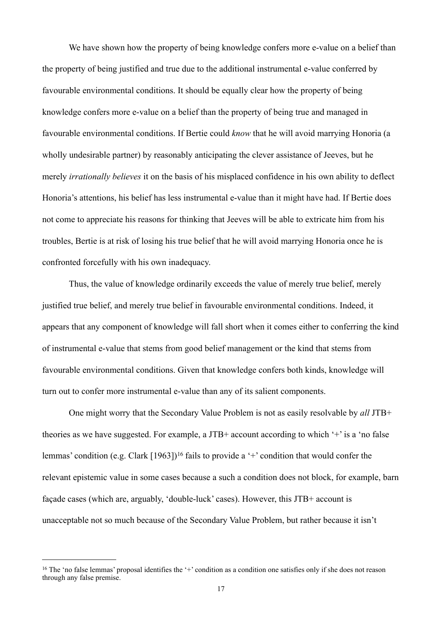We have shown how the property of being knowledge confers more e-value on a belief than the property of being justified and true due to the additional instrumental e-value conferred by favourable environmental conditions. It should be equally clear how the property of being knowledge confers more e-value on a belief than the property of being true and managed in favourable environmental conditions. If Bertie could *know* that he will avoid marrying Honoria (a wholly undesirable partner) by reasonably anticipating the clever assistance of Jeeves, but he merely *irrationally believes* it on the basis of his misplaced confidence in his own ability to deflect Honoria's attentions, his belief has less instrumental e-value than it might have had. If Bertie does not come to appreciate his reasons for thinking that Jeeves will be able to extricate him from his troubles, Bertie is at risk of losing his true belief that he will avoid marrying Honoria once he is confronted forcefully with his own inadequacy.

Thus, the value of knowledge ordinarily exceeds the value of merely true belief, merely justified true belief, and merely true belief in favourable environmental conditions. Indeed, it appears that any component of knowledge will fall short when it comes either to conferring the kind of instrumental e-value that stems from good belief management or the kind that stems from favourable environmental conditions. Given that knowledge confers both kinds, knowledge will turn out to confer more instrumental e-value than any of its salient components.

One might worry that the Secondary Value Problem is not as easily resolvable by *all* JTB+ theories as we have suggested. For example, a JTB+ account according to which '+' is a 'no false lemmas' condition (e.g. Clark [1963])<sup>16</sup> fails to provide a '+' condition that would confer the relevant epistemic value in some cases because a such a condition does not block, for example, barn façade cases (which are, arguably, 'double-luck' cases). However, this JTB+ account is unacceptable not so much because of the Secondary Value Problem, but rather because it isn't

<span id="page-17-0"></span><sup>&</sup>lt;sup>16</sup> The 'no false lemmas' proposal identifies the '+' condition as a condition one satisfies only if she does not reason through any false premise.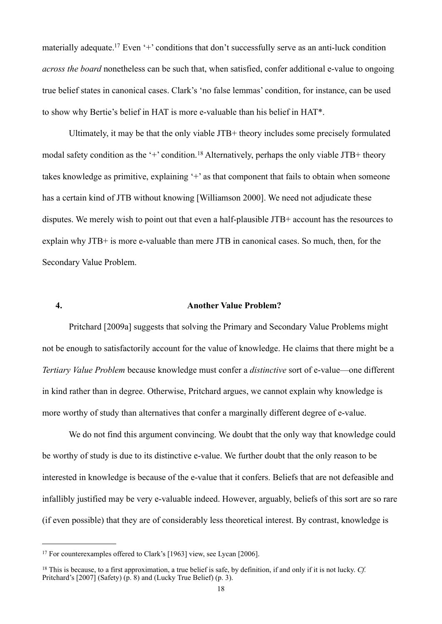materially adequate.<sup>17</sup> Even '+' conditions that don't successfully serve as an anti-luck condition *across the board* nonetheless can be such that, when satisfied, confer additional e-value to ongoing true belief states in canonical cases. Clark's 'no false lemmas' condition, for instance, can be used to show why Bertie's belief in HAT is more e-valuable than his belief in HAT\*.

Ultimately, it may be that the only viable JTB+ theory includes some precisely formulated modal safety condition as the '+' condition.<sup>18</sup> Alternatively, perhaps the only viable JTB+ theory takes knowledge as primitive, explaining '+' as that component that fails to obtain when someone has a certain kind of JTB without knowing [Williamson 2000]. We need not adjudicate these disputes. We merely wish to point out that even a half-plausible JTB+ account has the resources to explain why JTB+ is more e-valuable than mere JTB in canonical cases. So much, then, for the Secondary Value Problem.

### **4. Another Value Problem?**

Pritchard [2009a] suggests that solving the Primary and Secondary Value Problems might not be enough to satisfactorily account for the value of knowledge. He claims that there might be a *Tertiary Value Problem* because knowledge must confer a *distinctive* sort of e-value—one different in kind rather than in degree. Otherwise, Pritchard argues, we cannot explain why knowledge is more worthy of study than alternatives that confer a marginally different degree of e-value.

We do not find this argument convincing. We doubt that the only way that knowledge could be worthy of study is due to its distinctive e-value. We further doubt that the only reason to be interested in knowledge is because of the e-value that it confers. Beliefs that are not defeasible and infallibly justified may be very e-valuable indeed. However, arguably, beliefs of this sort are so rare (if even possible) that they are of considerably less theoretical interest. By contrast, knowledge is

<span id="page-18-0"></span><sup>&</sup>lt;sup>17</sup> For counterexamples offered to Clark's [1963] view, see Lycan [2006].

<span id="page-18-1"></span><sup>18</sup> This is because, to a first approximation, a true belief is safe, by definition, if and only if it is not lucky. *Cf.* Pritchard's [2007] (Safety) (p. 8) and (Lucky True Belief) (p. 3).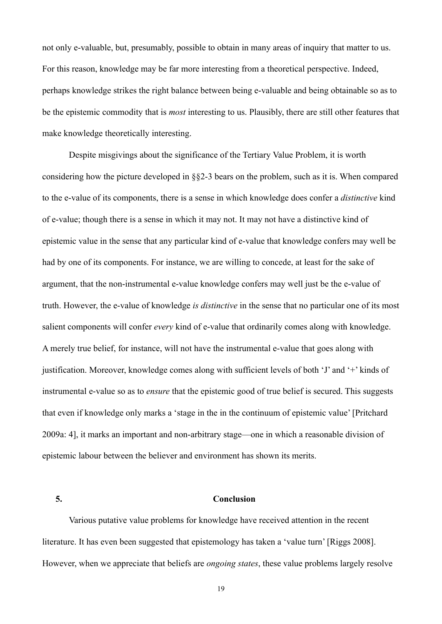not only e-valuable, but, presumably, possible to obtain in many areas of inquiry that matter to us. For this reason, knowledge may be far more interesting from a theoretical perspective. Indeed, perhaps knowledge strikes the right balance between being e-valuable and being obtainable so as to be the epistemic commodity that is *most* interesting to us. Plausibly, there are still other features that make knowledge theoretically interesting.

Despite misgivings about the significance of the Tertiary Value Problem, it is worth considering how the picture developed in §§2-3 bears on the problem, such as it is. When compared to the e-value of its components, there is a sense in which knowledge does confer a *distinctive* kind of e-value; though there is a sense in which it may not. It may not have a distinctive kind of epistemic value in the sense that any particular kind of e-value that knowledge confers may well be had by one of its components. For instance, we are willing to concede, at least for the sake of argument, that the non-instrumental e-value knowledge confers may well just be the e-value of truth. However, the e-value of knowledge *is distinctive* in the sense that no particular one of its most salient components will confer *every* kind of e-value that ordinarily comes along with knowledge. A merely true belief, for instance, will not have the instrumental e-value that goes along with justification. Moreover, knowledge comes along with sufficient levels of both 'J' and '+' kinds of instrumental e-value so as to *ensure* that the epistemic good of true belief is secured. This suggests that even if knowledge only marks a 'stage in the in the continuum of epistemic value' [Pritchard 2009a: 4], it marks an important and non-arbitrary stage—one in which a reasonable division of epistemic labour between the believer and environment has shown its merits.

# **5. Conclusion**

Various putative value problems for knowledge have received attention in the recent literature. It has even been suggested that epistemology has taken a 'value turn' [Riggs 2008]. However, when we appreciate that beliefs are *ongoing states*, these value problems largely resolve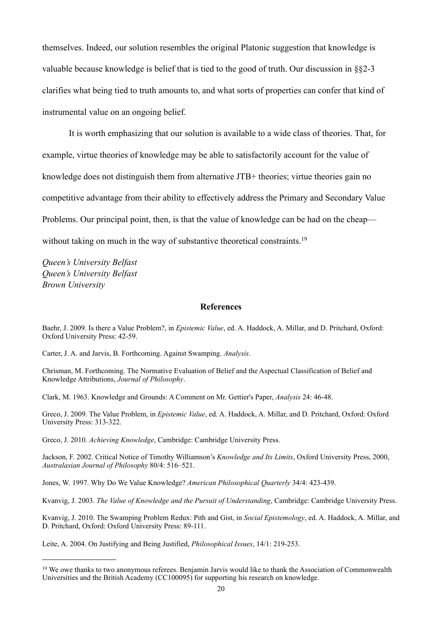themselves. Indeed, our solution resembles the original Platonic suggestion that knowledge is valuable because knowledge is belief that is tied to the good of truth. Our discussion in §§2-3 clarifies what being tied to truth amounts to, and what sorts of properties can confer that kind of instrumental value on an ongoing belief.

 It is worth emphasizing that our solution is available to a wide class of theories. That, for example, virtue theories of knowledge may be able to satisfactorily account for the value of knowledge does not distinguish them from alternative JTB+ theories; virtue theories gain no competitive advantage from their ability to effectively address the Primary and Secondary Value Problems. Our principal point, then, is that the value of knowledge can be had on the cheap— without taking on much in the way of substantive theoretical constraints.<sup>[19](#page-20-0)</sup>

*Queen's University Belfast Queen's University Belfast Brown University*

# **References**

Baehr, J. 2009. Is there a Value Problem?, in *Epistemic Value*, ed. A. Haddock, A. Millar, and D. Pritchard, Oxford: Oxford University Press: 42-59.

Carter, J. A. and Jarvis, B. Forthcoming. Against Swamping. *Analysis*.

Chrisman, M. Forthcoming. The Normative Evaluation of Belief and the Aspectual Classification of Belief and Knowledge Attributions, *Journal of Philosophy*.

Clark, M. 1963. Knowledge and Grounds: A Comment on Mr. Gettier's Paper, *Analysis* 24: 46-48.

Greco, J. 2009. The Value Problem, in *Epistemic Value*, ed. A. Haddock, A. Millar, and D. Pritchard, Oxford: Oxford University Press: 313-322.

Greco, J. 2010. *Achieving Knowledge*, Cambridge: Cambridge University Press.

Jackson, F. 2002. Critical Notice of Timothy Williamson's *Knowledge and Its Limits*, Oxford University Press, 2000, *Australasian Journal of Philosophy* 80/4: 516–521.

Jones, W. 1997. Why Do We Value Knowledge? *American Philosophical Quarterly* 34/4: 423-439.

Kvanvig, J. 2003. *The Value of Knowledge and the Pursuit of Understanding*, Cambridge: Cambridge University Press.

Kvanvig, J. 2010. The Swamping Problem Redux: Pith and Gist, in *Social Epistemology*, ed. A. Haddock, A. Millar, and D. Pritchard, Oxford: Oxford University Press: 89-111.

Leite, A. 2004. On Justifying and Being Justified, *Philosophical Issues*, 14/1: 219-253.

<span id="page-20-0"></span><sup>&</sup>lt;sup>19</sup> We owe thanks to two anonymous referees. Benjamin Jarvis would like to thank the Association of Commonwealth Universities and the British Academy (CC100095) for supporting his research on knowledge.